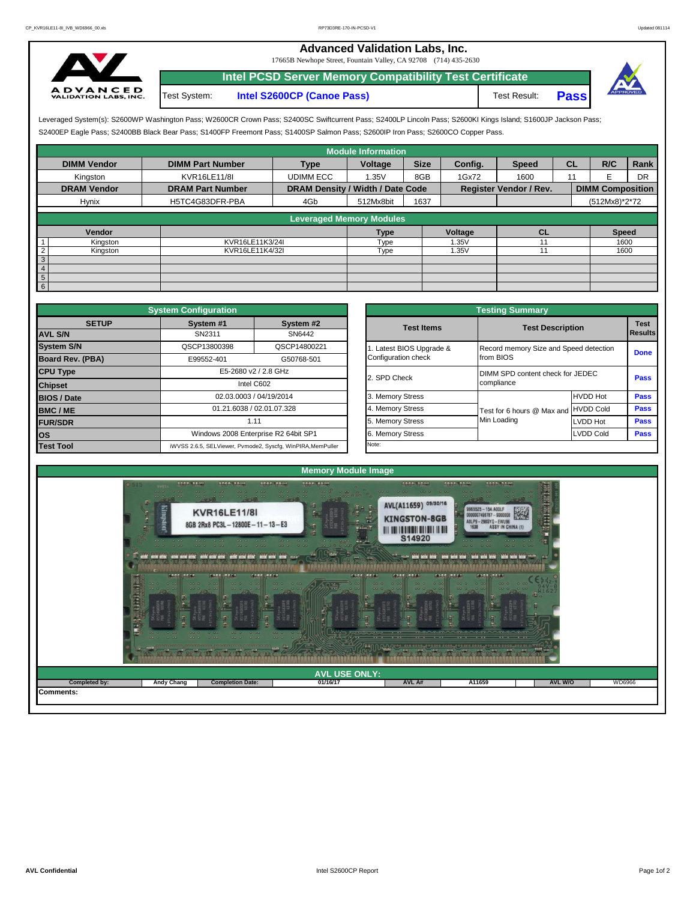## **Advanced Validation Labs, Inc.**

17665B Newhope Street, Fountain Valley, CA 92708 (714) 435-2630



Test System: **Intel S2600CP (Canoe Pass)** Test Result: **Pass Intel PCSD Server Memory Compatibility Test Certificate**



S2400EP Eagle Pass; S2400BB Black Bear Pass; S1400FP Freemont Pass; S1400SP Salmon Pass; S2600IP Iron Pass; S2600CO Copper Pass. Leveraged System(s): S2600WP Washington Pass; W2600CR Crown Pass; S2400SC Swiftcurrent Pass; S2400LP Lincoln Pass; S2600KI Kings Island; S1600JP Jackson Pass;

|                            |                         |                                  | <b>Module Information</b>       |             |         |                               |           |                         |      |
|----------------------------|-------------------------|----------------------------------|---------------------------------|-------------|---------|-------------------------------|-----------|-------------------------|------|
| <b>DIMM Vendor</b>         | <b>DIMM Part Number</b> | <b>Type</b>                      | Voltage                         | <b>Size</b> | Config. | <b>Speed</b>                  | <b>CL</b> | R/C                     | Rank |
| Kingston                   | KVR16LE11/8I            | <b>UDIMM ECC</b>                 | 1.35V                           | 8GB         | 1Gx72   | 1600                          | 11        |                         | DR   |
| <b>DRAM Vendor</b>         | <b>DRAM Part Number</b> | DRAM Density / Width / Date Code |                                 |             |         | <b>Register Vendor / Rev.</b> |           | <b>DIMM Composition</b> |      |
| Hynix                      | H5TC4G83DFR-PBA         | 4Gb                              | 512Mx8bit                       | 1637        |         |                               |           | (512Mx8)*2*72           |      |
|                            |                         |                                  |                                 |             |         |                               |           |                         |      |
|                            |                         |                                  | <b>Leveraged Memory Modules</b> |             |         |                               |           |                         |      |
| Vendor                     |                         |                                  | Type                            |             | Voltage | <b>CL</b>                     |           | <b>Speed</b>            |      |
| Kingston                   | KVR16LE11K3/24I         |                                  | Type                            |             | 1.35V   |                               |           | 1600                    |      |
| $\overline{c}$<br>Kingston | KVR16LE11K4/32I         |                                  | Type                            |             | 1.35V   |                               |           | 1600                    |      |
| $\sqrt{3}$                 |                         |                                  |                                 |             |         |                               |           |                         |      |
| $\overline{4}$             |                         |                                  |                                 |             |         |                               |           |                         |      |
| $5\overline{)}$            |                         |                                  |                                 |             |         |                               |           |                         |      |
| $6\overline{6}$            |                         |                                  |                                 |             |         |                               |           |                         |      |

|                    | <b>System Configuration</b> |                                                             |                       | <b>Testing Summary</b>                 |                  |                 |  |  |  |
|--------------------|-----------------------------|-------------------------------------------------------------|-----------------------|----------------------------------------|------------------|-----------------|--|--|--|
| <b>SETUP</b>       | System #1                   | System #2                                                   | <b>Test Items</b>     | <b>Test Description</b>                |                  | <b>Test</b>     |  |  |  |
| <b>AVL S/N</b>     | SN2311                      | SN6442                                                      |                       |                                        |                  | <b>I</b> Result |  |  |  |
| <b>System S/N</b>  | QSCP13800398                | QSCP14800221                                                | Latest BIOS Upgrade & | Record memory Size and Speed detection |                  | Done            |  |  |  |
| Board Rev. (PBA)   | E99552-401                  | G50768-501                                                  | Configuration check   | from BIOS                              |                  |                 |  |  |  |
| <b>CPU Type</b>    |                             | E5-2680 v2 / 2.8 GHz                                        | 2. SPD Check          | DIMM SPD content check for JEDEC       |                  |                 |  |  |  |
| <b>Chipset</b>     |                             | Intel C602                                                  |                       | compliance                             |                  | Pass            |  |  |  |
| <b>BIOS / Date</b> |                             | 02.03.0003 / 04/19/2014                                     | 3. Memory Stress      |                                        | <b>HVDD Hot</b>  | Pass            |  |  |  |
| <b>BMC/ME</b>      |                             | 01.21.6038 / 02.01.07.328                                   | 4. Memory Stress      | Test for 6 hours @ Max and HVDD Cold   |                  | Pass            |  |  |  |
| <b>FUR/SDR</b>     |                             | 1.11                                                        | 5. Memory Stress      | Min Loading                            | LVDD Hot         | Pass            |  |  |  |
| los                |                             | Windows 2008 Enterprise R2 64bit SP1                        | 6. Memory Stress      |                                        | <b>LVDD Cold</b> | Pass            |  |  |  |
| <b>Test Tool</b>   |                             | iWVSS 2.6.5, SELViewer, Pvmode2, Syscfg, WinPIRA, MemPuller | Note:                 |                                        |                  |                 |  |  |  |

| <b>nfiquration</b>        |                                                     |                         | <b>Testing Summary</b>                 |                  |                |
|---------------------------|-----------------------------------------------------|-------------------------|----------------------------------------|------------------|----------------|
| vstem #1                  | System #2                                           | <b>Test Items</b>       | <b>Test Description</b>                |                  | <b>Test</b>    |
| SN2311                    | SN6442                                              |                         |                                        |                  | <b>Results</b> |
| CP13800398                | QSCP14800221                                        | . Latest BIOS Upgrade & | Record memory Size and Speed detection |                  | <b>Done</b>    |
| 39552-401                 | G50768-501                                          | Configuration check     | from BIOS                              |                  |                |
|                           | E5-2680 v2 / 2.8 GHz                                | 2. SPD Check            | DIMM SPD content check for JEDEC       |                  | Pass           |
|                           | Intel C602                                          |                         | compliance                             |                  |                |
|                           | 02.03.0003 / 04/19/2014                             | 3. Memory Stress        |                                        | <b>HVDD Hot</b>  | Pass           |
| 01.21.6038 / 02.01.07.328 |                                                     | 4. Memory Stress        | Test for 6 hours @ Max and             | <b>HVDD Cold</b> | Pass           |
|                           | 1.11                                                | 5. Memory Stress        | Min Loading                            | <b>LVDD Hot</b>  | Pass           |
|                           | Vindows 2008 Enterprise R2 64bit SP1                | 6. Memory Stress        |                                        | <b>LVDD Cold</b> | Pass           |
|                           | 6.5, SELViewer, Pvmode2, Syscfg, WinPIRA, MemPuller | Note:                   |                                        |                  |                |